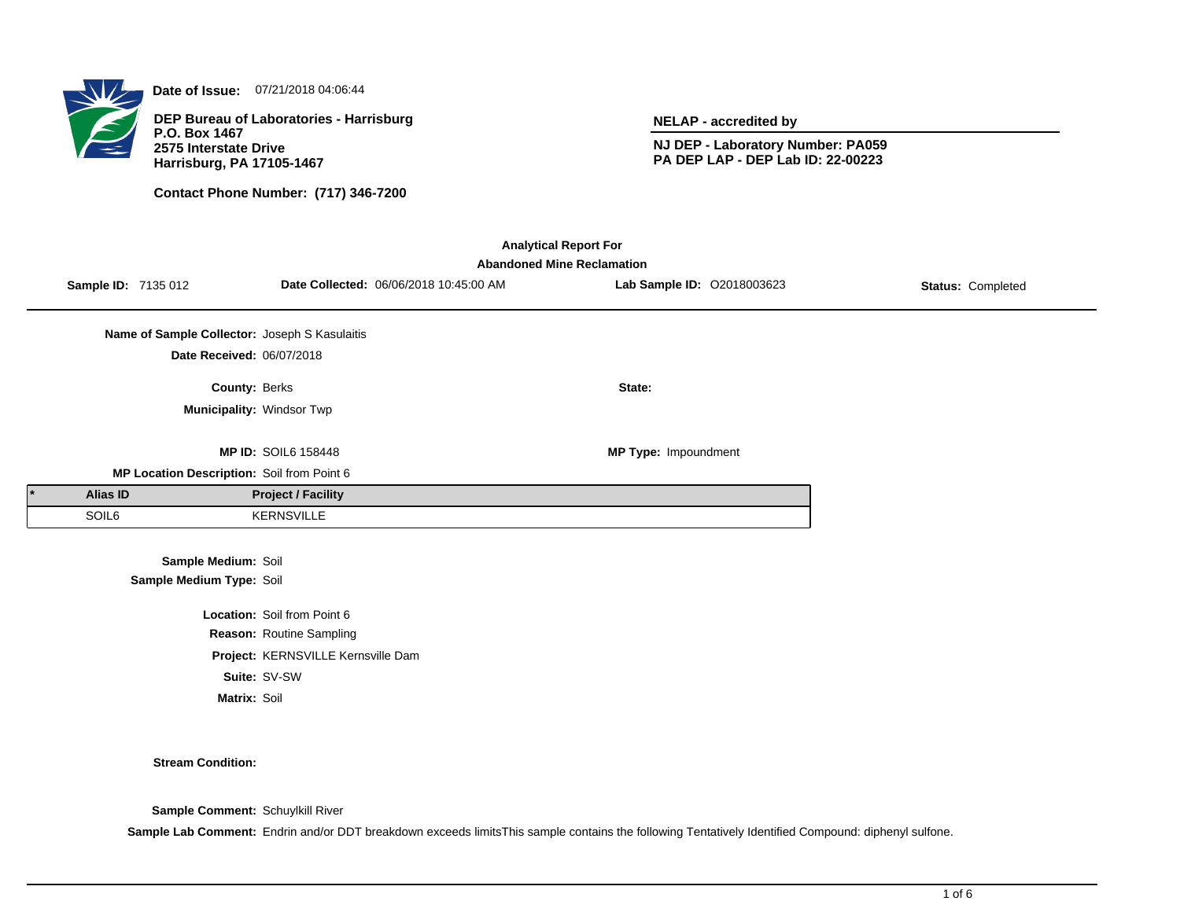

**Date of Issue:** 07/21/2018 04:06:44

**DEP Bureau of Laboratories - Harrisburg P.O. Box 1467 2575 Interstate Drive Harrisburg, PA 17105-1467**

**Contact Phone Number: (717) 346-7200**

**NELAP - accredited by**

**NJ DEP - Laboratory Number: PA059 PA DEP LAP - DEP Lab ID: 22-00223**

| <b>Analytical Report For</b><br><b>Abandoned Mine Reclamation</b> |                                                 |                                    |                                        |                            |                   |  |  |  |
|-------------------------------------------------------------------|-------------------------------------------------|------------------------------------|----------------------------------------|----------------------------|-------------------|--|--|--|
| Sample ID: 7135 012                                               |                                                 |                                    | Date Collected: 06/06/2018 10:45:00 AM | Lab Sample ID: 02018003623 | Status: Completed |  |  |  |
|                                                                   | Name of Sample Collector: Joseph S Kasulaitis   |                                    |                                        |                            |                   |  |  |  |
|                                                                   | Date Received: 06/07/2018                       |                                    |                                        |                            |                   |  |  |  |
|                                                                   | County: Berks                                   |                                    |                                        | State:                     |                   |  |  |  |
|                                                                   |                                                 | Municipality: Windsor Twp          |                                        |                            |                   |  |  |  |
|                                                                   |                                                 | <b>MP ID: SOIL6 158448</b>         |                                        | MP Type: Impoundment       |                   |  |  |  |
|                                                                   | MP Location Description: Soil from Point 6      |                                    |                                        |                            |                   |  |  |  |
| <b>Alias ID</b>                                                   |                                                 | <b>Project / Facility</b>          |                                        |                            |                   |  |  |  |
| SOIL6                                                             |                                                 | KERNSVILLE                         |                                        |                            |                   |  |  |  |
|                                                                   | Sample Medium: Soil<br>Sample Medium Type: Soil |                                    |                                        |                            |                   |  |  |  |
|                                                                   |                                                 | Location: Soil from Point 6        |                                        |                            |                   |  |  |  |
|                                                                   |                                                 | Reason: Routine Sampling           |                                        |                            |                   |  |  |  |
|                                                                   |                                                 | Project: KERNSVILLE Kernsville Dam |                                        |                            |                   |  |  |  |
|                                                                   | Suite: SV-SW                                    |                                    |                                        |                            |                   |  |  |  |
|                                                                   | Matrix: Soil                                    |                                    |                                        |                            |                   |  |  |  |
|                                                                   |                                                 |                                    |                                        |                            |                   |  |  |  |

#### **Stream Condition:**

**Sample Comment:** Schuylkill River

Sample Lab Comment: Endrin and/or DDT breakdown exceeds limitsThis sample contains the following Tentatively Identified Compound: diphenyl sulfone.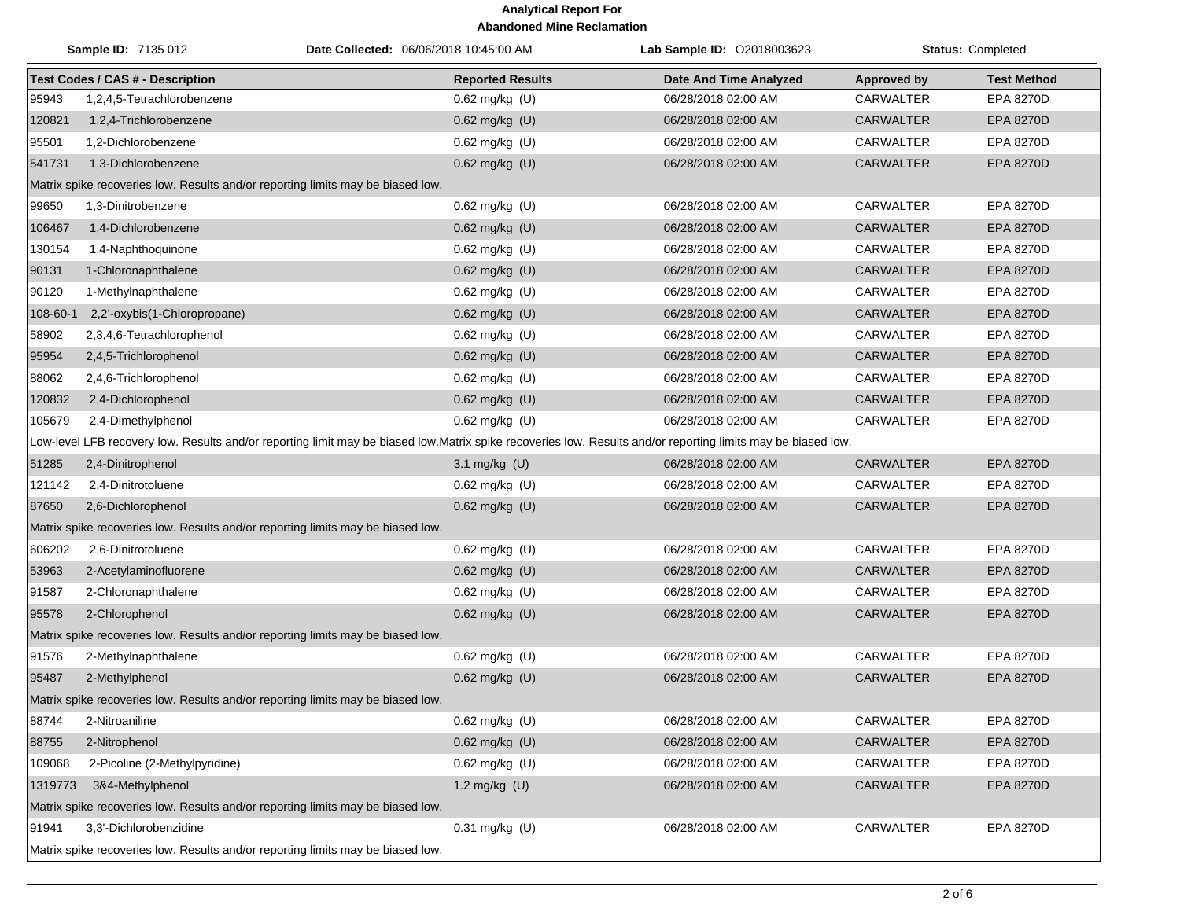| <b>Sample ID: 7135 012</b>                                                      |                                                                                 | Date Collected: 06/06/2018 10:45:00 AM                                                                                                                       | Lab Sample ID: 02018003623    | Status: Completed  |                    |  |  |
|---------------------------------------------------------------------------------|---------------------------------------------------------------------------------|--------------------------------------------------------------------------------------------------------------------------------------------------------------|-------------------------------|--------------------|--------------------|--|--|
|                                                                                 | <b>Test Codes / CAS # - Description</b>                                         | <b>Reported Results</b>                                                                                                                                      | <b>Date And Time Analyzed</b> | <b>Approved by</b> | <b>Test Method</b> |  |  |
| 95943                                                                           | 1,2,4,5-Tetrachlorobenzene                                                      | 0.62 mg/kg (U)                                                                                                                                               | 06/28/2018 02:00 AM           | <b>CARWALTER</b>   | EPA 8270D          |  |  |
| 120821                                                                          | 1,2,4-Trichlorobenzene                                                          | 0.62 mg/kg (U)                                                                                                                                               | 06/28/2018 02:00 AM           | <b>CARWALTER</b>   | <b>EPA 8270D</b>   |  |  |
| 95501                                                                           | 1,2-Dichlorobenzene                                                             | 0.62 mg/kg (U)                                                                                                                                               | 06/28/2018 02:00 AM           | <b>CARWALTER</b>   | <b>EPA 8270D</b>   |  |  |
| 541731                                                                          | 1,3-Dichlorobenzene                                                             | 0.62 mg/kg (U)                                                                                                                                               | 06/28/2018 02:00 AM           | <b>CARWALTER</b>   | <b>EPA 8270D</b>   |  |  |
|                                                                                 | Matrix spike recoveries low. Results and/or reporting limits may be biased low. |                                                                                                                                                              |                               |                    |                    |  |  |
| 99650                                                                           | 1,3-Dinitrobenzene                                                              | $0.62$ mg/kg (U)                                                                                                                                             | 06/28/2018 02:00 AM           | <b>CARWALTER</b>   | EPA 8270D          |  |  |
| 106467                                                                          | 1,4-Dichlorobenzene                                                             | 0.62 mg/kg (U)                                                                                                                                               | 06/28/2018 02:00 AM           | <b>CARWALTER</b>   | <b>EPA 8270D</b>   |  |  |
| 130154                                                                          | 1,4-Naphthoquinone                                                              | 0.62 mg/kg (U)                                                                                                                                               | 06/28/2018 02:00 AM           | CARWALTER          | <b>EPA 8270D</b>   |  |  |
| 90131                                                                           | 1-Chloronaphthalene                                                             | 0.62 mg/kg (U)                                                                                                                                               | 06/28/2018 02:00 AM           | <b>CARWALTER</b>   | <b>EPA 8270D</b>   |  |  |
| 90120                                                                           | 1-Methylnaphthalene                                                             | 0.62 mg/kg (U)                                                                                                                                               | 06/28/2018 02:00 AM           | <b>CARWALTER</b>   | <b>EPA 8270D</b>   |  |  |
| 108-60-1                                                                        | 2,2'-oxybis(1-Chloropropane)                                                    | 0.62 mg/kg (U)                                                                                                                                               | 06/28/2018 02:00 AM           | <b>CARWALTER</b>   | EPA 8270D          |  |  |
| 58902                                                                           | 2,3,4,6-Tetrachlorophenol                                                       | 0.62 mg/kg (U)                                                                                                                                               | 06/28/2018 02:00 AM           | CARWALTER          | <b>EPA 8270D</b>   |  |  |
| 95954                                                                           | 2,4,5-Trichlorophenol                                                           | 0.62 mg/kg (U)                                                                                                                                               | 06/28/2018 02:00 AM           | <b>CARWALTER</b>   | <b>EPA 8270D</b>   |  |  |
| 88062                                                                           | 2,4,6-Trichlorophenol                                                           | 0.62 mg/kg (U)                                                                                                                                               | 06/28/2018 02:00 AM           | CARWALTER          | EPA 8270D          |  |  |
| 120832                                                                          | 2,4-Dichlorophenol                                                              | 0.62 mg/kg (U)                                                                                                                                               | 06/28/2018 02:00 AM           | <b>CARWALTER</b>   | <b>EPA 8270D</b>   |  |  |
| 105679                                                                          | 2,4-Dimethylphenol                                                              | 0.62 mg/kg (U)                                                                                                                                               | 06/28/2018 02:00 AM           | CARWALTER          | EPA 8270D          |  |  |
|                                                                                 |                                                                                 | Low-level LFB recovery low. Results and/or reporting limit may be biased low.Matrix spike recoveries low. Results and/or reporting limits may be biased low. |                               |                    |                    |  |  |
| 51285                                                                           | 2,4-Dinitrophenol                                                               | 3.1 mg/kg (U)                                                                                                                                                | 06/28/2018 02:00 AM           | <b>CARWALTER</b>   | <b>EPA 8270D</b>   |  |  |
| 121142                                                                          | 2,4-Dinitrotoluene                                                              | 0.62 mg/kg (U)                                                                                                                                               | 06/28/2018 02:00 AM           | CARWALTER          | EPA 8270D          |  |  |
| 87650                                                                           | 2,6-Dichlorophenol                                                              | 0.62 mg/kg (U)                                                                                                                                               | 06/28/2018 02:00 AM           | <b>CARWALTER</b>   | <b>EPA 8270D</b>   |  |  |
|                                                                                 | Matrix spike recoveries low. Results and/or reporting limits may be biased low. |                                                                                                                                                              |                               |                    |                    |  |  |
| 606202                                                                          | 2,6-Dinitrotoluene                                                              | 0.62 mg/kg (U)                                                                                                                                               | 06/28/2018 02:00 AM           | CARWALTER          | <b>EPA 8270D</b>   |  |  |
| 53963                                                                           | 2-Acetylaminofluorene                                                           | 0.62 mg/kg (U)                                                                                                                                               | 06/28/2018 02:00 AM           | <b>CARWALTER</b>   | <b>EPA 8270D</b>   |  |  |
| 91587                                                                           | 2-Chloronaphthalene                                                             | 0.62 mg/kg (U)                                                                                                                                               | 06/28/2018 02:00 AM           | CARWALTER          | EPA 8270D          |  |  |
| 95578                                                                           | 2-Chlorophenol                                                                  | $0.62$ mg/kg $(U)$                                                                                                                                           | 06/28/2018 02:00 AM           | <b>CARWALTER</b>   | EPA 8270D          |  |  |
|                                                                                 | Matrix spike recoveries low. Results and/or reporting limits may be biased low. |                                                                                                                                                              |                               |                    |                    |  |  |
| 91576                                                                           | 2-Methylnaphthalene                                                             | 0.62 mg/kg (U)                                                                                                                                               | 06/28/2018 02:00 AM           | CARWALTER          | EPA 8270D          |  |  |
| 95487                                                                           | 2-Methylphenol                                                                  | 0.62 mg/kg (U)                                                                                                                                               | 06/28/2018 02:00 AM           | <b>CARWALTER</b>   | <b>EPA 8270D</b>   |  |  |
| Matrix spike recoveries low. Results and/or reporting limits may be biased low. |                                                                                 |                                                                                                                                                              |                               |                    |                    |  |  |
| 88744                                                                           | 2-Nitroaniline                                                                  | 0.62 mg/kg (U)                                                                                                                                               | 06/28/2018 02:00 AM           | CARWALTER          | EPA 8270D          |  |  |
| 88755                                                                           | 2-Nitrophenol                                                                   | $0.62$ mg/kg $(U)$                                                                                                                                           | 06/28/2018 02:00 AM           | <b>CARWALTER</b>   | EPA 8270D          |  |  |
| 109068                                                                          | 2-Picoline (2-Methylpyridine)                                                   | $0.62$ mg/kg $(U)$                                                                                                                                           | 06/28/2018 02:00 AM           | CARWALTER          | EPA 8270D          |  |  |
| 1319773                                                                         | 3&4-Methylphenol                                                                | 1.2 mg/kg (U)                                                                                                                                                | 06/28/2018 02:00 AM           | CARWALTER          | EPA 8270D          |  |  |
| Matrix spike recoveries low. Results and/or reporting limits may be biased low. |                                                                                 |                                                                                                                                                              |                               |                    |                    |  |  |
| 91941                                                                           | 3,3'-Dichlorobenzidine                                                          | 0.31 mg/kg (U)                                                                                                                                               | 06/28/2018 02:00 AM           | CARWALTER          | EPA 8270D          |  |  |
|                                                                                 | Matrix spike recoveries low. Results and/or reporting limits may be biased low. |                                                                                                                                                              |                               |                    |                    |  |  |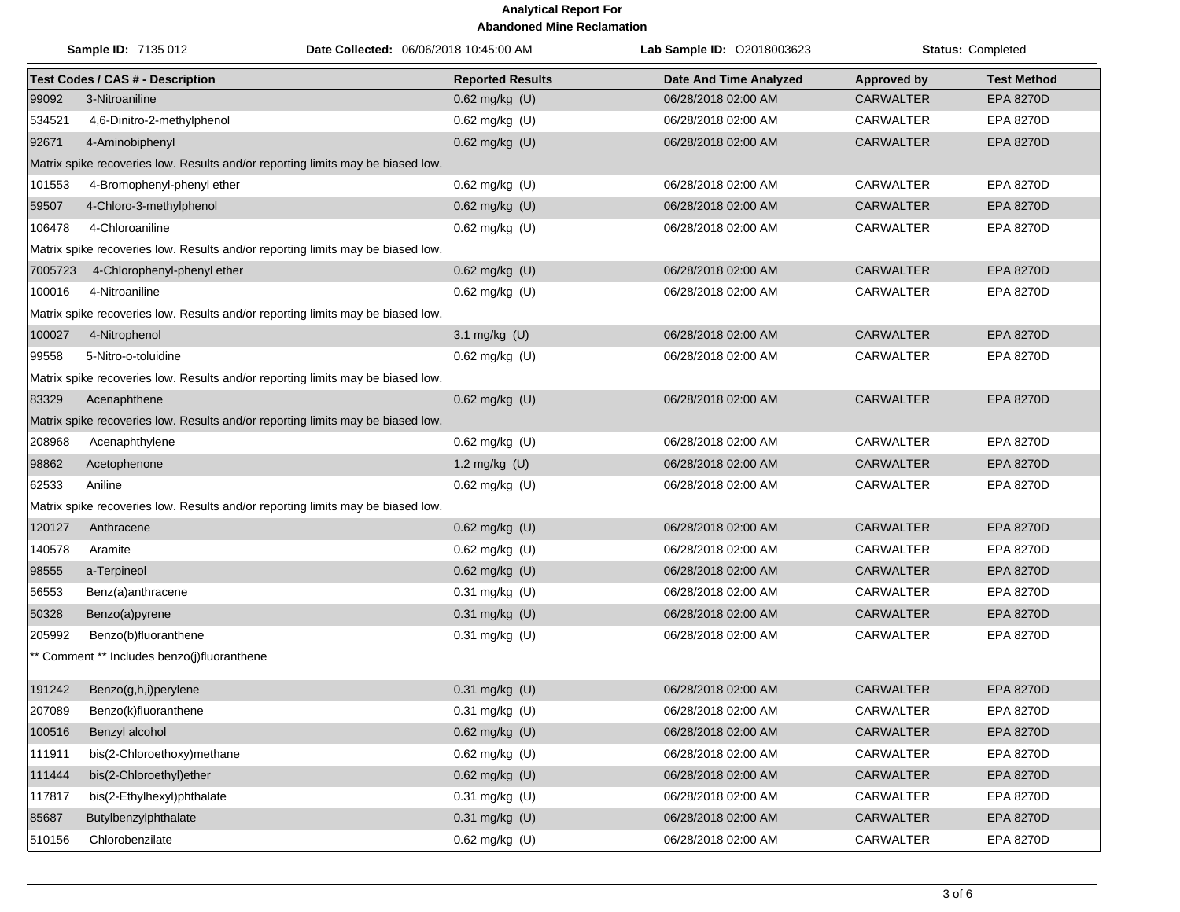|         | Sample ID: 7135 012<br>Date Collected: 06/06/2018 10:45:00 AM                   |                         | Lab Sample ID: 02018003623 | Status: Completed  |                    |  |  |
|---------|---------------------------------------------------------------------------------|-------------------------|----------------------------|--------------------|--------------------|--|--|
|         | <b>Test Codes / CAS # - Description</b>                                         | <b>Reported Results</b> | Date And Time Analyzed     | <b>Approved by</b> | <b>Test Method</b> |  |  |
| 99092   | 3-Nitroaniline                                                                  | 0.62 mg/kg (U)          | 06/28/2018 02:00 AM        | <b>CARWALTER</b>   | EPA 8270D          |  |  |
| 534521  | 4,6-Dinitro-2-methylphenol                                                      | $0.62$ mg/kg (U)        | 06/28/2018 02:00 AM        | <b>CARWALTER</b>   | <b>EPA 8270D</b>   |  |  |
| 92671   | 4-Aminobiphenyl                                                                 | $0.62$ mg/kg (U)        | 06/28/2018 02:00 AM        | <b>CARWALTER</b>   | <b>EPA 8270D</b>   |  |  |
|         | Matrix spike recoveries low. Results and/or reporting limits may be biased low. |                         |                            |                    |                    |  |  |
| 101553  | 4-Bromophenyl-phenyl ether                                                      | 0.62 mg/kg (U)          | 06/28/2018 02:00 AM        | CARWALTER          | <b>EPA 8270D</b>   |  |  |
| 59507   | 4-Chloro-3-methylphenol                                                         | 0.62 mg/kg (U)          | 06/28/2018 02:00 AM        | <b>CARWALTER</b>   | <b>EPA 8270D</b>   |  |  |
| 106478  | 4-Chloroaniline                                                                 | $0.62$ mg/kg (U)        | 06/28/2018 02:00 AM        | CARWALTER          | <b>EPA 8270D</b>   |  |  |
|         | Matrix spike recoveries low. Results and/or reporting limits may be biased low. |                         |                            |                    |                    |  |  |
| 7005723 | 4-Chlorophenyl-phenyl ether                                                     | 0.62 mg/kg (U)          | 06/28/2018 02:00 AM        | <b>CARWALTER</b>   | <b>EPA 8270D</b>   |  |  |
| 100016  | 4-Nitroaniline                                                                  | $0.62$ mg/kg (U)        | 06/28/2018 02:00 AM        | <b>CARWALTER</b>   | EPA 8270D          |  |  |
|         | Matrix spike recoveries low. Results and/or reporting limits may be biased low. |                         |                            |                    |                    |  |  |
| 100027  | 4-Nitrophenol                                                                   | 3.1 mg/kg (U)           | 06/28/2018 02:00 AM        | <b>CARWALTER</b>   | <b>EPA 8270D</b>   |  |  |
| 99558   | 5-Nitro-o-toluidine                                                             | 0.62 mg/kg (U)          | 06/28/2018 02:00 AM        | <b>CARWALTER</b>   | EPA 8270D          |  |  |
|         | Matrix spike recoveries low. Results and/or reporting limits may be biased low. |                         |                            |                    |                    |  |  |
| 83329   | Acenaphthene                                                                    | 0.62 mg/kg (U)          | 06/28/2018 02:00 AM        | <b>CARWALTER</b>   | <b>EPA 8270D</b>   |  |  |
|         | Matrix spike recoveries low. Results and/or reporting limits may be biased low. |                         |                            |                    |                    |  |  |
| 208968  | Acenaphthylene                                                                  | 0.62 mg/kg (U)          | 06/28/2018 02:00 AM        | <b>CARWALTER</b>   | EPA 8270D          |  |  |
| 98862   | Acetophenone                                                                    | 1.2 mg/kg $(U)$         | 06/28/2018 02:00 AM        | <b>CARWALTER</b>   | <b>EPA 8270D</b>   |  |  |
| 62533   | Aniline                                                                         | 0.62 mg/kg (U)          | 06/28/2018 02:00 AM        | CARWALTER          | <b>EPA 8270D</b>   |  |  |
|         | Matrix spike recoveries low. Results and/or reporting limits may be biased low. |                         |                            |                    |                    |  |  |
| 120127  | Anthracene                                                                      | 0.62 mg/kg (U)          | 06/28/2018 02:00 AM        | <b>CARWALTER</b>   | <b>EPA 8270D</b>   |  |  |
| 140578  | Aramite                                                                         | 0.62 mg/kg (U)          | 06/28/2018 02:00 AM        | CARWALTER          | <b>EPA 8270D</b>   |  |  |
| 98555   | a-Terpineol                                                                     | 0.62 mg/kg (U)          | 06/28/2018 02:00 AM        | <b>CARWALTER</b>   | EPA 8270D          |  |  |
| 56553   | Benz(a)anthracene                                                               | 0.31 mg/kg (U)          | 06/28/2018 02:00 AM        | CARWALTER          | EPA 8270D          |  |  |
| 50328   | Benzo(a)pyrene                                                                  | 0.31 mg/kg (U)          | 06/28/2018 02:00 AM        | <b>CARWALTER</b>   | EPA 8270D          |  |  |
| 205992  | Benzo(b)fluoranthene                                                            | 0.31 mg/kg (U)          | 06/28/2018 02:00 AM        | CARWALTER          | EPA 8270D          |  |  |
|         | ** Comment ** Includes benzo(j)fluoranthene                                     |                         |                            |                    |                    |  |  |
| 191242  | Benzo(g,h,i)perylene                                                            | 0.31 mg/kg (U)          | 06/28/2018 02:00 AM        | <b>CARWALTER</b>   | <b>EPA 8270D</b>   |  |  |
| 207089  | Benzo(k)fluoranthene                                                            | 0.31 mg/kg (U)          | 06/28/2018 02:00 AM        | CARWALTER          | EPA 8270D          |  |  |
| 100516  | Benzyl alcohol                                                                  | $0.62$ mg/kg (U)        | 06/28/2018 02:00 AM        | <b>CARWALTER</b>   | EPA 8270D          |  |  |
| 111911  | bis(2-Chloroethoxy)methane                                                      | $0.62$ mg/kg (U)        | 06/28/2018 02:00 AM        | <b>CARWALTER</b>   | EPA 8270D          |  |  |
| 111444  | bis(2-Chloroethyl)ether                                                         | 0.62 mg/kg (U)          | 06/28/2018 02:00 AM        | CARWALTER          | EPA 8270D          |  |  |
| 117817  | bis(2-Ethylhexyl)phthalate                                                      | $0.31$ mg/kg (U)        | 06/28/2018 02:00 AM        | <b>CARWALTER</b>   | EPA 8270D          |  |  |
| 85687   | Butylbenzylphthalate                                                            | 0.31 mg/kg (U)          | 06/28/2018 02:00 AM        | CARWALTER          | EPA 8270D          |  |  |
| 510156  | Chlorobenzilate                                                                 | 0.62 mg/kg (U)          | 06/28/2018 02:00 AM        | <b>CARWALTER</b>   | EPA 8270D          |  |  |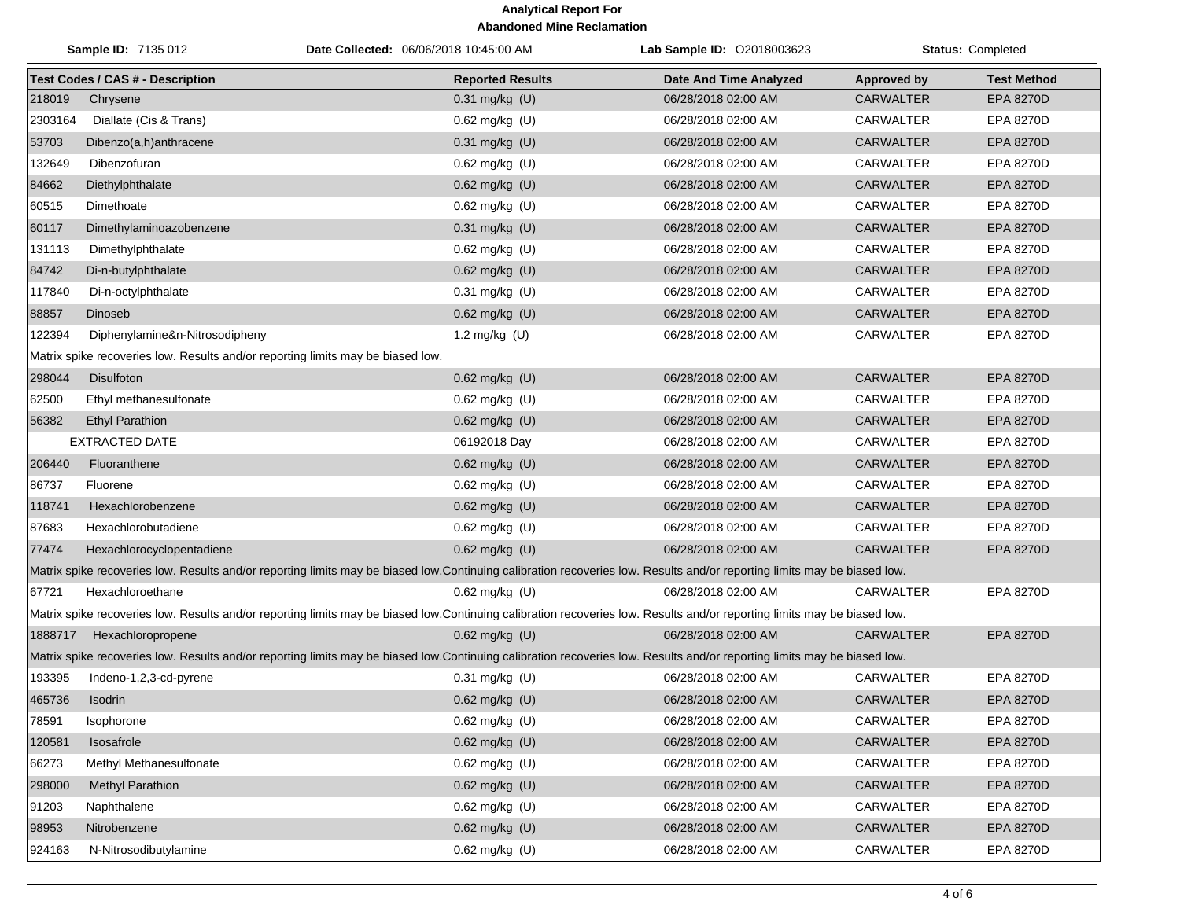| <b>Sample ID: 7135 012</b>                                                                                                                                               |                                                                                 | Date Collected: 06/06/2018 10:45:00 AM                                                                                                                                   | Lab Sample ID: 02018003623 | Status: Completed  |                    |  |  |
|--------------------------------------------------------------------------------------------------------------------------------------------------------------------------|---------------------------------------------------------------------------------|--------------------------------------------------------------------------------------------------------------------------------------------------------------------------|----------------------------|--------------------|--------------------|--|--|
|                                                                                                                                                                          | <b>Test Codes / CAS # - Description</b>                                         | <b>Reported Results</b>                                                                                                                                                  | Date And Time Analyzed     | <b>Approved by</b> | <b>Test Method</b> |  |  |
| 218019                                                                                                                                                                   | Chrysene                                                                        | 0.31 mg/kg (U)                                                                                                                                                           | 06/28/2018 02:00 AM        | <b>CARWALTER</b>   | <b>EPA 8270D</b>   |  |  |
| 2303164                                                                                                                                                                  | Diallate (Cis & Trans)                                                          | 0.62 mg/kg (U)                                                                                                                                                           | 06/28/2018 02:00 AM        | CARWALTER          | <b>EPA 8270D</b>   |  |  |
| 53703                                                                                                                                                                    | Dibenzo(a,h)anthracene                                                          | 0.31 mg/kg (U)                                                                                                                                                           | 06/28/2018 02:00 AM        | <b>CARWALTER</b>   | EPA 8270D          |  |  |
| 132649                                                                                                                                                                   | Dibenzofuran                                                                    | 0.62 mg/kg (U)                                                                                                                                                           | 06/28/2018 02:00 AM        | <b>CARWALTER</b>   | <b>EPA 8270D</b>   |  |  |
| 84662                                                                                                                                                                    | Diethylphthalate                                                                | 0.62 mg/kg (U)                                                                                                                                                           | 06/28/2018 02:00 AM        | <b>CARWALTER</b>   | <b>EPA 8270D</b>   |  |  |
| 60515                                                                                                                                                                    | Dimethoate                                                                      | 0.62 mg/kg (U)                                                                                                                                                           | 06/28/2018 02:00 AM        | <b>CARWALTER</b>   | EPA 8270D          |  |  |
| 60117                                                                                                                                                                    | Dimethylaminoazobenzene                                                         | 0.31 mg/kg (U)                                                                                                                                                           | 06/28/2018 02:00 AM        | <b>CARWALTER</b>   | <b>EPA 8270D</b>   |  |  |
| 131113                                                                                                                                                                   | Dimethylphthalate                                                               | $0.62$ mg/kg (U)                                                                                                                                                         | 06/28/2018 02:00 AM        | <b>CARWALTER</b>   | <b>EPA 8270D</b>   |  |  |
| 84742                                                                                                                                                                    | Di-n-butylphthalate                                                             | 0.62 mg/kg (U)                                                                                                                                                           | 06/28/2018 02:00 AM        | <b>CARWALTER</b>   | <b>EPA 8270D</b>   |  |  |
| 117840                                                                                                                                                                   | Di-n-octylphthalate                                                             | 0.31 mg/kg (U)                                                                                                                                                           | 06/28/2018 02:00 AM        | CARWALTER          | EPA 8270D          |  |  |
| 88857                                                                                                                                                                    | Dinoseb                                                                         | 0.62 mg/kg (U)                                                                                                                                                           | 06/28/2018 02:00 AM        | <b>CARWALTER</b>   | EPA 8270D          |  |  |
| 122394                                                                                                                                                                   | Diphenylamine&n-Nitrosodipheny                                                  | 1.2 mg/kg (U)                                                                                                                                                            | 06/28/2018 02:00 AM        | CARWALTER          | <b>EPA 8270D</b>   |  |  |
|                                                                                                                                                                          | Matrix spike recoveries low. Results and/or reporting limits may be biased low. |                                                                                                                                                                          |                            |                    |                    |  |  |
| 298044                                                                                                                                                                   | <b>Disulfoton</b>                                                               | 0.62 mg/kg (U)                                                                                                                                                           | 06/28/2018 02:00 AM        | <b>CARWALTER</b>   | <b>EPA 8270D</b>   |  |  |
| 62500                                                                                                                                                                    | Ethyl methanesulfonate                                                          | 0.62 mg/kg (U)                                                                                                                                                           | 06/28/2018 02:00 AM        | CARWALTER          | <b>EPA 8270D</b>   |  |  |
| 56382                                                                                                                                                                    | <b>Ethyl Parathion</b>                                                          | 0.62 mg/kg (U)                                                                                                                                                           | 06/28/2018 02:00 AM        | <b>CARWALTER</b>   | <b>EPA 8270D</b>   |  |  |
|                                                                                                                                                                          | EXTRACTED DATE                                                                  | 06192018 Day                                                                                                                                                             | 06/28/2018 02:00 AM        | <b>CARWALTER</b>   | <b>EPA 8270D</b>   |  |  |
| 206440                                                                                                                                                                   | Fluoranthene                                                                    | 0.62 mg/kg (U)                                                                                                                                                           | 06/28/2018 02:00 AM        | <b>CARWALTER</b>   | EPA 8270D          |  |  |
| 86737                                                                                                                                                                    | Fluorene                                                                        | 0.62 mg/kg (U)                                                                                                                                                           | 06/28/2018 02:00 AM        | <b>CARWALTER</b>   | <b>EPA 8270D</b>   |  |  |
| 118741                                                                                                                                                                   | Hexachlorobenzene                                                               | 0.62 mg/kg (U)                                                                                                                                                           | 06/28/2018 02:00 AM        | <b>CARWALTER</b>   | <b>EPA 8270D</b>   |  |  |
| 87683                                                                                                                                                                    | Hexachlorobutadiene                                                             | 0.62 mg/kg (U)                                                                                                                                                           | 06/28/2018 02:00 AM        | <b>CARWALTER</b>   | EPA 8270D          |  |  |
| 77474                                                                                                                                                                    | Hexachlorocyclopentadiene                                                       | 0.62 mg/kg (U)                                                                                                                                                           | 06/28/2018 02:00 AM        | <b>CARWALTER</b>   | <b>EPA 8270D</b>   |  |  |
|                                                                                                                                                                          |                                                                                 | Matrix spike recoveries low. Results and/or reporting limits may be biased low.Continuing calibration recoveries low. Results and/or reporting limits may be biased low. |                            |                    |                    |  |  |
| 67721                                                                                                                                                                    | Hexachloroethane                                                                | 0.62 mg/kg (U)                                                                                                                                                           | 06/28/2018 02:00 AM        | CARWALTER          | <b>EPA 8270D</b>   |  |  |
|                                                                                                                                                                          |                                                                                 | Matrix spike recoveries low. Results and/or reporting limits may be biased low.Continuing calibration recoveries low. Results and/or reporting limits may be biased low. |                            |                    |                    |  |  |
| 1888717                                                                                                                                                                  | Hexachloropropene                                                               | 0.62 mg/kg (U)                                                                                                                                                           | 06/28/2018 02:00 AM        | <b>CARWALTER</b>   | <b>EPA 8270D</b>   |  |  |
| Matrix spike recoveries low. Results and/or reporting limits may be biased low.Continuing calibration recoveries low. Results and/or reporting limits may be biased low. |                                                                                 |                                                                                                                                                                          |                            |                    |                    |  |  |
| 193395                                                                                                                                                                   | Indeno-1,2,3-cd-pyrene                                                          | 0.31 mg/kg (U)                                                                                                                                                           | 06/28/2018 02:00 AM        | <b>CARWALTER</b>   | <b>EPA 8270D</b>   |  |  |
| 465736                                                                                                                                                                   | Isodrin                                                                         | 0.62 mg/kg (U)                                                                                                                                                           | 06/28/2018 02:00 AM        | <b>CARWALTER</b>   | <b>EPA 8270D</b>   |  |  |
| 78591                                                                                                                                                                    | Isophorone                                                                      | 0.62 mg/kg (U)                                                                                                                                                           | 06/28/2018 02:00 AM        | <b>CARWALTER</b>   | EPA 8270D          |  |  |
| 120581                                                                                                                                                                   | Isosafrole                                                                      | 0.62 mg/kg (U)                                                                                                                                                           | 06/28/2018 02:00 AM        | CARWALTER          | EPA 8270D          |  |  |
| 66273                                                                                                                                                                    | Methyl Methanesulfonate                                                         | 0.62 mg/kg (U)                                                                                                                                                           | 06/28/2018 02:00 AM        | <b>CARWALTER</b>   | EPA 8270D          |  |  |
| 298000                                                                                                                                                                   | <b>Methyl Parathion</b>                                                         | 0.62 mg/kg (U)                                                                                                                                                           | 06/28/2018 02:00 AM        | CARWALTER          | EPA 8270D          |  |  |
| 91203                                                                                                                                                                    | Naphthalene                                                                     | 0.62 mg/kg (U)                                                                                                                                                           | 06/28/2018 02:00 AM        | <b>CARWALTER</b>   | EPA 8270D          |  |  |
| 98953                                                                                                                                                                    | Nitrobenzene                                                                    | $0.62$ mg/kg $(U)$                                                                                                                                                       | 06/28/2018 02:00 AM        | <b>CARWALTER</b>   | EPA 8270D          |  |  |
| 924163                                                                                                                                                                   | N-Nitrosodibutylamine                                                           | 0.62 mg/kg (U)                                                                                                                                                           | 06/28/2018 02:00 AM        | CARWALTER          | EPA 8270D          |  |  |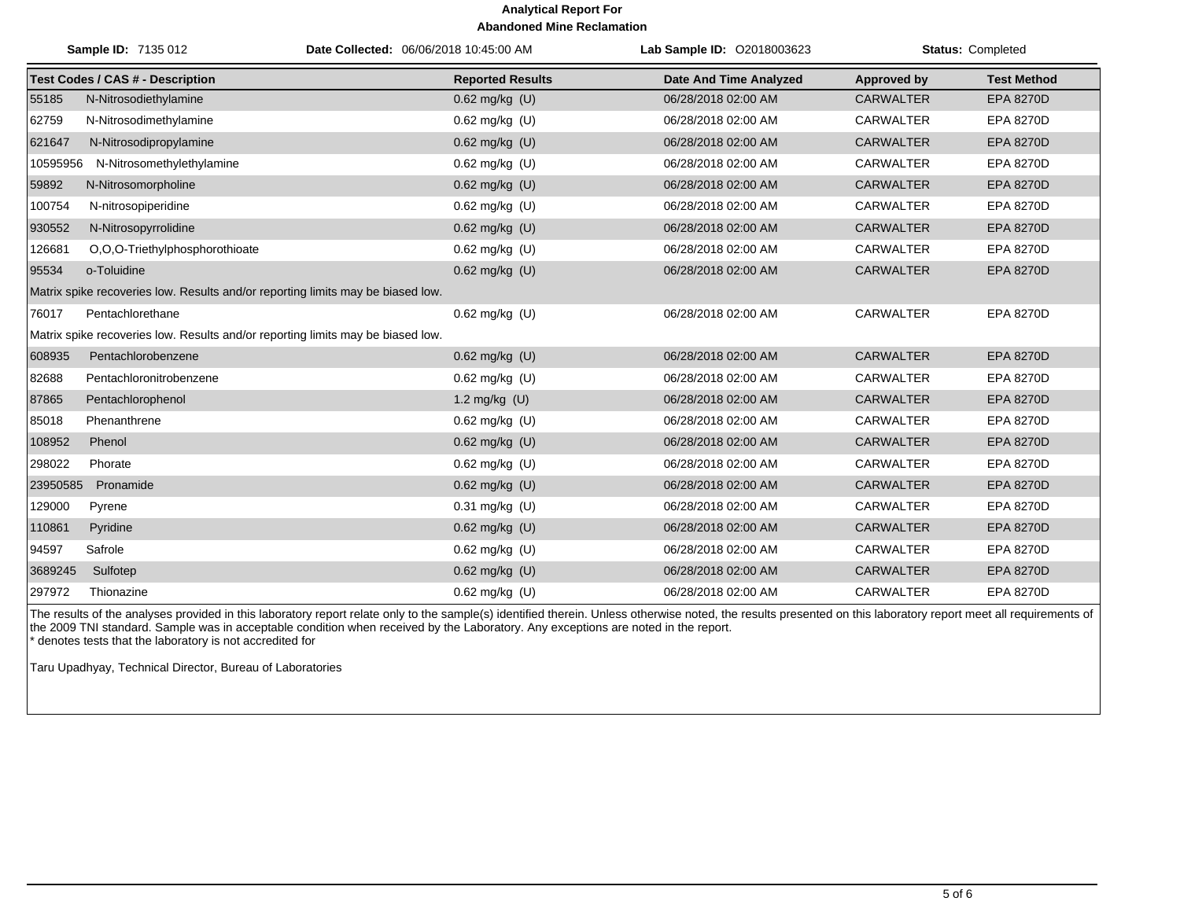|          | Sample ID: 7135 012                                                             | Date Collected: 06/06/2018 10:45:00 AM |                         | Lab Sample ID: 02018003623    |                    | <b>Status: Completed</b> |
|----------|---------------------------------------------------------------------------------|----------------------------------------|-------------------------|-------------------------------|--------------------|--------------------------|
|          | <b>Test Codes / CAS # - Description</b>                                         |                                        | <b>Reported Results</b> | <b>Date And Time Analyzed</b> | <b>Approved by</b> | <b>Test Method</b>       |
| 55185    | N-Nitrosodiethylamine                                                           |                                        | 0.62 mg/kg (U)          | 06/28/2018 02:00 AM           | <b>CARWALTER</b>   | <b>EPA 8270D</b>         |
| 62759    | N-Nitrosodimethylamine                                                          |                                        | $0.62$ mg/kg $(U)$      | 06/28/2018 02:00 AM           | <b>CARWALTER</b>   | EPA 8270D                |
| 621647   | N-Nitrosodipropylamine                                                          |                                        | 0.62 mg/kg (U)          | 06/28/2018 02:00 AM           | <b>CARWALTER</b>   | <b>EPA 8270D</b>         |
| 10595956 | N-Nitrosomethylethylamine                                                       |                                        | 0.62 mg/kg (U)          | 06/28/2018 02:00 AM           | <b>CARWALTER</b>   | <b>EPA 8270D</b>         |
| 59892    | N-Nitrosomorpholine                                                             |                                        | 0.62 mg/kg (U)          | 06/28/2018 02:00 AM           | <b>CARWALTER</b>   | EPA 8270D                |
| 100754   | N-nitrosopiperidine                                                             |                                        | 0.62 mg/kg (U)          | 06/28/2018 02:00 AM           | <b>CARWALTER</b>   | EPA 8270D                |
| 930552   | N-Nitrosopyrrolidine                                                            |                                        | 0.62 mg/kg (U)          | 06/28/2018 02:00 AM           | <b>CARWALTER</b>   | <b>EPA 8270D</b>         |
| 126681   | O,O,O-Triethylphosphorothioate                                                  |                                        | 0.62 mg/kg (U)          | 06/28/2018 02:00 AM           | <b>CARWALTER</b>   | EPA 8270D                |
| 95534    | o-Toluidine                                                                     |                                        | $0.62$ mg/kg (U)        | 06/28/2018 02:00 AM           | <b>CARWALTER</b>   | <b>EPA 8270D</b>         |
|          | Matrix spike recoveries low. Results and/or reporting limits may be biased low. |                                        |                         |                               |                    |                          |
| 76017    | Pentachlorethane                                                                |                                        | 0.62 mg/kg (U)          | 06/28/2018 02:00 AM           | <b>CARWALTER</b>   | EPA 8270D                |
|          | Matrix spike recoveries low. Results and/or reporting limits may be biased low. |                                        |                         |                               |                    |                          |
| 608935   | Pentachlorobenzene                                                              |                                        | 0.62 mg/kg (U)          | 06/28/2018 02:00 AM           | <b>CARWALTER</b>   | <b>EPA 8270D</b>         |
| 82688    | Pentachloronitrobenzene                                                         |                                        | 0.62 mg/kg (U)          | 06/28/2018 02:00 AM           | <b>CARWALTER</b>   | EPA 8270D                |
| 87865    | Pentachlorophenol                                                               |                                        | 1.2 mg/kg (U)           | 06/28/2018 02:00 AM           | <b>CARWALTER</b>   | <b>EPA 8270D</b>         |
| 85018    | Phenanthrene                                                                    |                                        | 0.62 mg/kg (U)          | 06/28/2018 02:00 AM           | <b>CARWALTER</b>   | EPA 8270D                |
| 108952   | Phenol                                                                          |                                        | 0.62 mg/kg (U)          | 06/28/2018 02:00 AM           | <b>CARWALTER</b>   | <b>EPA 8270D</b>         |
| 298022   | Phorate                                                                         |                                        | $0.62$ mg/kg $(U)$      | 06/28/2018 02:00 AM           | <b>CARWALTER</b>   | EPA 8270D                |
| 23950585 | Pronamide                                                                       |                                        | 0.62 mg/kg (U)          | 06/28/2018 02:00 AM           | <b>CARWALTER</b>   | <b>EPA 8270D</b>         |
| 129000   | Pyrene                                                                          |                                        | 0.31 mg/kg (U)          | 06/28/2018 02:00 AM           | <b>CARWALTER</b>   | EPA 8270D                |
| 110861   | Pyridine                                                                        |                                        | 0.62 mg/kg (U)          | 06/28/2018 02:00 AM           | <b>CARWALTER</b>   | <b>EPA 8270D</b>         |
| 94597    | Safrole                                                                         |                                        | 0.62 mg/kg (U)          | 06/28/2018 02:00 AM           | <b>CARWALTER</b>   | EPA 8270D                |
| 3689245  | Sulfotep                                                                        |                                        | 0.62 mg/kg (U)          | 06/28/2018 02:00 AM           | <b>CARWALTER</b>   | <b>EPA 8270D</b>         |
| 297972   | Thionazine                                                                      |                                        | $0.62$ mg/kg $(U)$      | 06/28/2018 02:00 AM           | <b>CARWALTER</b>   | EPA 8270D                |

The results of the analyses provided in this laboratory report relate only to the sample(s) identified therein. Unless otherwise noted, the results presented on this laboratory report meet all requirements of the 2009 TNI standard. Sample was in acceptable condition when received by the Laboratory. Any exceptions are noted in the report. \* denotes tests that the laboratory is not accredited for

Taru Upadhyay, Technical Director, Bureau of Laboratories